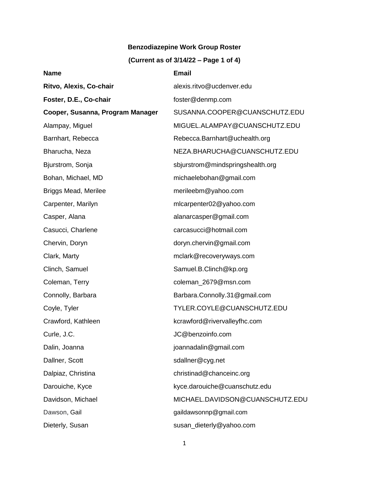## **Benzodiazepine Work Group Roster**

## **(Current as of 3/14/22 – Page 1 of 4)**

| <b>Name</b>                      | <b>Email</b>                     |
|----------------------------------|----------------------------------|
| Ritvo, Alexis, Co-chair          | alexis.ritvo@ucdenver.edu        |
| Foster, D.E., Co-chair           | foster@denmp.com                 |
| Cooper, Susanna, Program Manager | SUSANNA.COOPER@CUANSCHUTZ.EDU    |
| Alampay, Miguel                  | MIGUEL.ALAMPAY@CUANSCHUTZ.EDU    |
| Barnhart, Rebecca                | Rebecca.Barnhart@uchealth.org    |
| Bharucha, Neza                   | NEZA.BHARUCHA@CUANSCHUTZ.EDU     |
| Bjurstrom, Sonja                 | sbjurstrom@mindspringshealth.org |
| Bohan, Michael, MD               | michaelebohan@gmail.com          |
| <b>Briggs Mead, Merilee</b>      | merileebm@yahoo.com              |
| Carpenter, Marilyn               | mlcarpenter02@yahoo.com          |
| Casper, Alana                    | alanarcasper@gmail.com           |
| Casucci, Charlene                | carcasucci@hotmail.com           |
| Chervin, Doryn                   | doryn.chervin@gmail.com          |
| Clark, Marty                     | mclark@recoveryways.com          |
| Clinch, Samuel                   | Samuel.B.Clinch@kp.org           |
| Coleman, Terry                   | coleman_2679@msn.com             |
| Connolly, Barbara                | Barbara.Connolly.31@gmail.com    |
| Coyle, Tyler                     | TYLER.COYLE@CUANSCHUTZ.EDU       |
| Crawford, Kathleen               | kcrawford@rivervalleyfhc.com     |
| Curle, J.C.                      | JC@benzoinfo.com                 |
| Dalin, Joanna                    | joannadalin@gmail.com            |
| Dallner, Scott                   | sdallner@cyg.net                 |
| Dalpiaz, Christina               | christinad@chanceinc.org         |
| Darouiche, Kyce                  | kyce.darouiche@cuanschutz.edu    |
| Davidson, Michael                | MICHAEL.DAVIDSON@CUANSCHUTZ.EDU  |
| Dawson, Gail                     | gaildawsonnp@gmail.com           |
| Dieterly, Susan                  | susan_dieterly@yahoo.com         |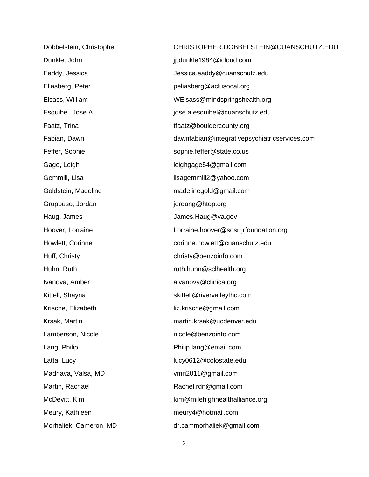| Dobbelstein, Christopher | CHRISTOPHER.DOBBELSTEIN@CUANSCHUTZ.EDU        |
|--------------------------|-----------------------------------------------|
| Dunkle, John             | jpdunkle1984@icloud.com                       |
| Eaddy, Jessica           | Jessica.eaddy@cuanschutz.edu                  |
| Eliasberg, Peter         | peliasberg@aclusocal.org                      |
| Elsass, William          | WEIsass@mindspringshealth.org                 |
| Esquibel, Jose A.        | jose.a.esquibel@cuanschutz.edu                |
| Faatz, Trina             | tfaatz@bouldercounty.org                      |
| Fabian, Dawn             | dawnfabian@integrativepsychiatricservices.com |
| Feffer, Sophie           | sophie.feffer@state.co.us                     |
| Gage, Leigh              | leighgage54@gmail.com                         |
| Gemmill, Lisa            | lisagemmill2@yahoo.com                        |
| Goldstein, Madeline      | madelinegold@gmail.com                        |
| Gruppuso, Jordan         | jordang@htop.org                              |
| Haug, James              | James.Haug@va.gov                             |
| Hoover, Lorraine         | Lorraine.hoover@sosrrjrfoundation.org         |
| Howlett, Corinne         | corinne.howlett@cuanschutz.edu                |
| Huff, Christy            | christy@benzoinfo.com                         |
| Huhn, Ruth               | ruth.huhn@sclhealth.org                       |
| Ivanova, Amber           | aivanova@clinica.org                          |
| Kittell, Shayna          | skittell@rivervalleyfhc.com                   |
| Krische, Elizabeth       | liz.krische@gmail.com                         |
| Krsak, Martin            | martin.krsak@ucdenver.edu                     |
| Lamberson, Nicole        | nicole@benzoinfo.com                          |
| Lang, Philip             | Philip.lang@email.com                         |
| Latta, Lucy              | lucy0612@colostate.edu                        |
| Madhava, Valsa, MD       | vmri2011@gmail.com                            |
| Martin, Rachael          | Rachel.rdn@gmail.com                          |
| McDevitt, Kim            | kim@milehighhealthalliance.org                |
| Meury, Kathleen          | meury4@hotmail.com                            |
| Morhaliek, Cameron, MD   | dr.cammorhaliek@gmail.com                     |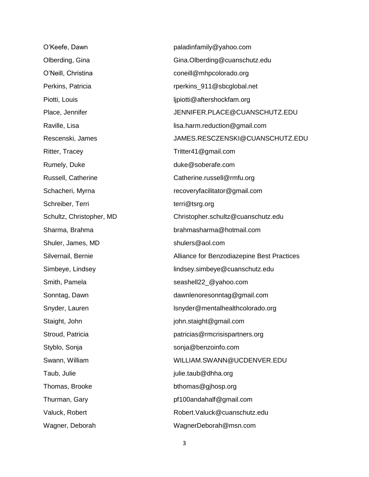Ritter, Tracey Tritter41@gmail.com Rumely, Duke duke @soberafe.com Schreiber, Terri [terri@tsrg.org](mailto:terri@tsrg.org) Shuler, James, MD [shulers@aol.com](mailto:shulers@aol.com) Taub, Julie is a control of the set of the intervals in the intervals of the intervals of the intervals of the i Thomas, Brooke bthomas@gjhosp.org

O'Keefe, Dawn [paladinfamily@yahoo.com](mailto:paladinfamily@yahoo.com) Olberding, Gina Gina.Olberding@cuanschutz.edu O'Neill, Christina coneill@mhpcolorado.org Perkins, Patricia rperkins\_911@sbcglobal.net Piotti, Louis lipiotti@aftershockfam.org Place, Jennifer The Superinter School School JENNIFER.PLACE@CUANSCHUTZ.EDU Raville, Lisa lisa.harm.reduction@gmail.com Rescenski, James JAMES.RESCZENSKI@CUANSCHUTZ.EDU Russell, Catherine [Catherine.russell@rmfu.org](mailto:Catherine.russell@rmfu.org) Schacheri, Myrna **recoveryfacilitator@gmail.com** Schultz, Christopher, MD Christopher.schultz@cuanschutz.edu Sharma, Brahma [brahmasharma@hotmail.com](mailto:brahmasharma@hotmail.com) Silvernail, Bernie **Alliance for Benzodiazepine Best Practices** Simbeye, Lindsey [lindsey.simbeye@cuanschutz.edu](mailto:lindsey.simbeye@cuanschutz.edu) Smith, Pamela seashell22\_@yahoo.com Sonntag, Dawn dawnlenoresonntag@gmail.com Snyder, Lauren lsnyder@mentalhealthcolorado.org Staight, John in the state of the state of the staight@gmail.com Stroud, Patricia **patricias** patricias@rmcrisispartners.org Styblo, Sonja sonja@benzoinfo.com Swann, William [WILLIAM.SWANN@UCDENVER.EDU](mailto:WILLIAM.SWANN@UCDENVER.EDU) Thurman, Gary extending the state of the [pf100andahalf@gmail.com](mailto:pf100andahalf@gmail.com) Valuck, Robert **National Accord Robert.** Valuck@cuanschutz.edu Wagner, Deborah WagnerDeborah@msn.com